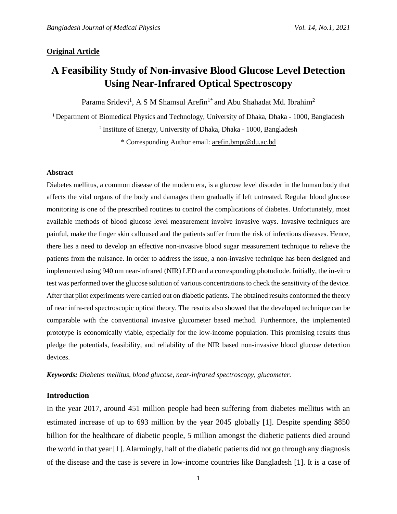### **Original Article**

# **A Feasibility Study of Non-invasive Blood Glucose Level Detection Using Near-Infrared Optical Spectroscopy**

Parama Sridevi<sup>1</sup>, A S M Shamsul Arefin<sup>1\*</sup> and Abu Shahadat Md. Ibrahim<sup>2</sup>

<sup>1</sup> Department of Biomedical Physics and Technology, University of Dhaka, Dhaka - 1000, Bangladesh <sup>2</sup> Institute of Energy, University of Dhaka, Dhaka - 1000, Bangladesh \* Corresponding Author email: [arefin.bmpt@du.ac.bd](mailto:arefin.bmpt@du.ac.bd)

### **Abstract**

Diabetes mellitus, a common disease of the modern era, is a glucose level disorder in the human body that affects the vital organs of the body and damages them gradually if left untreated. Regular blood glucose monitoring is one of the prescribed routines to control the complications of diabetes. Unfortunately, most available methods of blood glucose level measurement involve invasive ways. Invasive techniques are painful, make the finger skin calloused and the patients suffer from the risk of infectious diseases. Hence, there lies a need to develop an effective non-invasive blood sugar measurement technique to relieve the patients from the nuisance. In order to address the issue, a non-invasive technique has been designed and implemented using 940 nm near-infrared (NIR) LED and a corresponding photodiode. Initially, the in-vitro test was performed over the glucose solution of various concentrations to check the sensitivity of the device. After that pilot experiments were carried out on diabetic patients. The obtained results conformed the theory of near infra-red spectroscopic optical theory. The results also showed that the developed technique can be comparable with the conventional invasive glucometer based method. Furthermore, the implemented prototype is economically viable, especially for the low-income population. This promising results thus pledge the potentials, feasibility, and reliability of the NIR based non-invasive blood glucose detection devices.

*Keywords: Diabetes mellitus, blood glucose, near-infrared spectroscopy, glucometer.*

### **Introduction**

In the year 2017, around 451 million people had been suffering from diabetes mellitus with an estimated increase of up to 693 million by the year 2045 globally [1]. Despite spending \$850 billion for the healthcare of diabetic people, 5 million amongst the diabetic patients died around the world in that year [1]. Alarmingly, half of the diabetic patients did not go through any diagnosis of the disease and the case is severe in low-income countries like Bangladesh [1]. It is a case of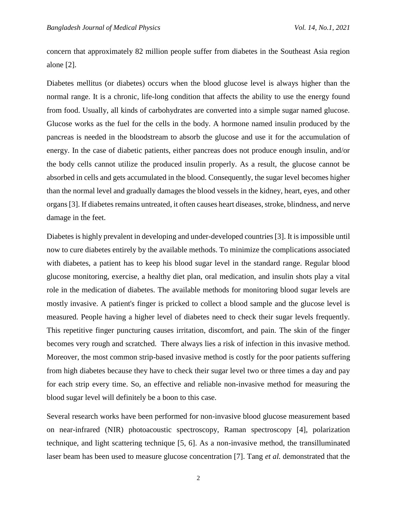concern that approximately 82 million people suffer from diabetes in the Southeast Asia region alone [2].

Diabetes mellitus (or diabetes) occurs when the blood glucose level is always higher than the normal range. It is a chronic, life-long condition that affects the ability to use the energy found from food. Usually, all kinds of carbohydrates are converted into a simple sugar named glucose. Glucose works as the fuel for the cells in the body. A hormone named insulin produced by the pancreas is needed in the bloodstream to absorb the glucose and use it for the accumulation of energy. In the case of diabetic patients, either pancreas does not produce enough insulin, and/or the body cells cannot utilize the produced insulin properly. As a result, the glucose cannot be absorbed in cells and gets accumulated in the blood. Consequently, the sugar level becomes higher than the normal level and gradually damages the blood vessels in the kidney, heart, eyes, and other organs [3]. If diabetes remains untreated, it often causes heart diseases, stroke, blindness, and nerve damage in the feet.

Diabetes is highly prevalent in developing and under-developed countries [3]. It is impossible until now to cure diabetes entirely by the available methods. To minimize the complications associated with diabetes, a patient has to keep his blood sugar level in the standard range. Regular blood glucose monitoring, exercise, a healthy diet plan, oral medication, and insulin shots play a vital role in the medication of diabetes. The available methods for monitoring blood sugar levels are mostly invasive. A patient's finger is pricked to collect a blood sample and the glucose level is measured. People having a higher level of diabetes need to check their sugar levels frequently. This repetitive finger puncturing causes irritation, discomfort, and pain. The skin of the finger becomes very rough and scratched. There always lies a risk of infection in this invasive method. Moreover, the most common strip-based invasive method is costly for the poor patients suffering from high diabetes because they have to check their sugar level two or three times a day and pay for each strip every time. So, an effective and reliable non-invasive method for measuring the blood sugar level will definitely be a boon to this case.

Several research works have been performed for non-invasive blood glucose measurement based on near-infrared (NIR) photoacoustic spectroscopy, Raman spectroscopy [4], polarization technique, and light scattering technique [5, 6]. As a non-invasive method, the transilluminated laser beam has been used to measure glucose concentration [7]. Tang *et al.* demonstrated that the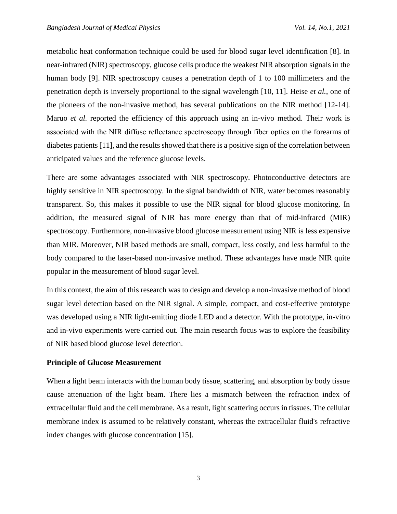metabolic heat conformation technique could be used for blood sugar level identification [8]. In near-infrared (NIR) spectroscopy, glucose cells produce the weakest NIR absorption signals in the human body [9]. NIR spectroscopy causes a penetration depth of 1 to 100 millimeters and the penetration depth is inversely proportional to the signal wavelength [10, 11]. Heise *et al.*, one of the pioneers of the non-invasive method, has several publications on the NIR method [12-14]. Maruo *et al.* reported the efficiency of this approach using an in-vivo method. Their work is associated with the NIR diffuse reflectance spectroscopy through fiber optics on the forearms of diabetes patients [11], and the results showed that there is a positive sign of the correlation between anticipated values and the reference glucose levels.

There are some advantages associated with NIR spectroscopy. Photoconductive detectors are highly sensitive in NIR spectroscopy. In the signal bandwidth of NIR, water becomes reasonably transparent. So, this makes it possible to use the NIR signal for blood glucose monitoring. In addition, the measured signal of NIR has more energy than that of mid-infrared (MIR) spectroscopy. Furthermore, non-invasive blood glucose measurement using NIR is less expensive than MIR. Moreover, NIR based methods are small, compact, less costly, and less harmful to the body compared to the laser-based non-invasive method. These advantages have made NIR quite popular in the measurement of blood sugar level.

In this context, the aim of this research was to design and develop a non-invasive method of blood sugar level detection based on the NIR signal. A simple, compact, and cost-effective prototype was developed using a NIR light-emitting diode LED and a detector. With the prototype, in-vitro and in-vivo experiments were carried out. The main research focus was to explore the feasibility of NIR based blood glucose level detection.

### **Principle of Glucose Measurement**

When a light beam interacts with the human body tissue, scattering, and absorption by body tissue cause attenuation of the light beam. There lies a mismatch between the refraction index of extracellular fluid and the cell membrane. As a result, light scattering occurs in tissues. The cellular membrane index is assumed to be relatively constant, whereas the extracellular fluid's refractive index changes with glucose concentration [15].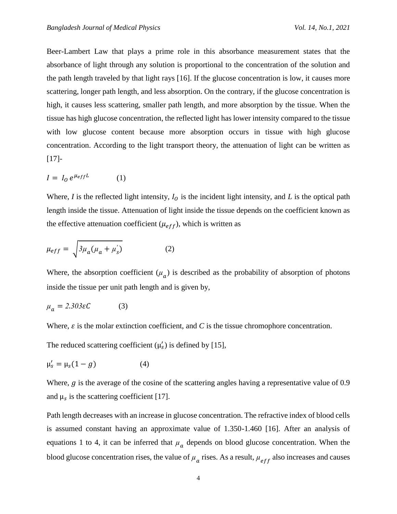Beer-Lambert Law that plays a prime role in this absorbance measurement states that the absorbance of light through any solution is proportional to the concentration of the solution and the path length traveled by that light rays [16]. If the glucose concentration is low, it causes more scattering, longer path length, and less absorption. On the contrary, if the glucose concentration is high, it causes less scattering, smaller path length, and more absorption by the tissue. When the tissue has high glucose concentration, the reflected light has lower intensity compared to the tissue with low glucose content because more absorption occurs in tissue with high glucose concentration. According to the light transport theory, the attenuation of light can be written as  $[17]$ -

$$
I = I_0 e^{\mu_{eff}L} \tag{1}
$$

Where, *I* is the reflected light intensity,  $I_0$  is the incident light intensity, and *L* is the optical path length inside the tissue. Attenuation of light inside the tissue depends on the coefficient known as the effective attenuation coefficient ( $\mu_{eff}$ ), which is written as

$$
\mu_{eff} = \sqrt{3\mu_a(\mu_a + \mu_s')} \tag{2}
$$

Where, the absorption coefficient  $(\mu_a)$  is described as the probability of absorption of photons inside the tissue per unit path length and is given by,

$$
\mu_a = 2.303 \varepsilon C \tag{3}
$$

Where,  $\varepsilon$  is the molar extinction coefficient, and  $C$  is the tissue chromophore concentration.

The reduced scattering coefficient  $(\mu'_{s})$  is defined by [15],

$$
\mu'_s = \mu_s (1 - g) \tag{4}
$$

Where,  $q$  is the average of the cosine of the scattering angles having a representative value of 0.9 and  $\mu_s$  is the scattering coefficient [17].

Path length decreases with an increase in glucose concentration. The refractive index of blood cells is assumed constant having an approximate value of 1.350-1.460 [16]. After an analysis of equations 1 to 4, it can be inferred that  $\mu_a$  depends on blood glucose concentration. When the blood glucose concentration rises, the value of  $\mu_a$  rises. As a result,  $\mu_{eff}$  also increases and causes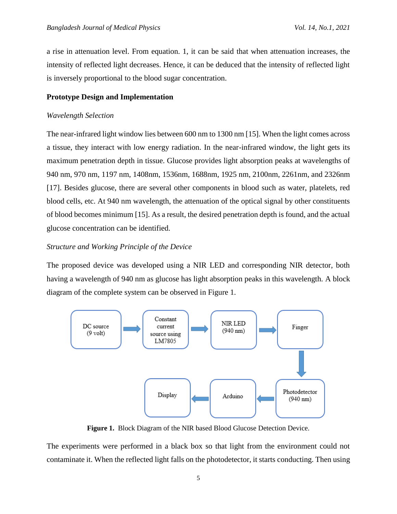a rise in attenuation level. From equation. 1, it can be said that when attenuation increases, the intensity of reflected light decreases. Hence, it can be deduced that the intensity of reflected light is inversely proportional to the blood sugar concentration.

## **Prototype Design and Implementation**

### *Wavelength Selection*

The near-infrared light window lies between 600 nm to 1300 nm [15]. When the light comes across a tissue, they interact with low energy radiation. In the near-infrared window, the light gets its maximum penetration depth in tissue. Glucose provides light absorption peaks at wavelengths of 940 nm, 970 nm, 1197 nm, 1408nm, 1536nm, 1688nm, 1925 nm, 2100nm, 2261nm, and 2326nm [17]. Besides glucose, there are several other components in blood such as water, platelets, red blood cells, etc. At 940 nm wavelength, the attenuation of the optical signal by other constituents of blood becomes minimum [15]. As a result, the desired penetration depth is found, and the actual glucose concentration can be identified.

# *Structure and Working Principle of the Device*

The proposed device was developed using a NIR LED and corresponding NIR detector, both having a wavelength of 940 nm as glucose has light absorption peaks in this wavelength. A block diagram of the complete system can be observed in Figure 1.



**Figure 1.** Block Diagram of the NIR based Blood Glucose Detection Device.

The experiments were performed in a black box so that light from the environment could not contaminate it. When the reflected light falls on the photodetector, it starts conducting. Then using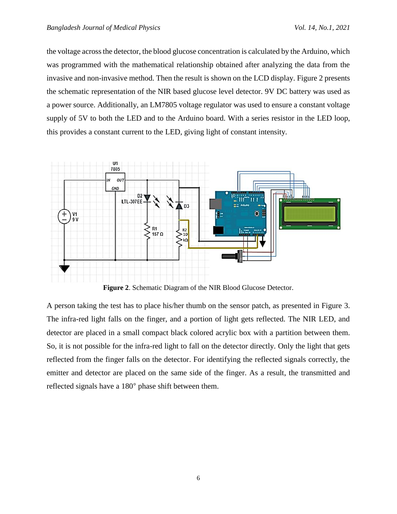the voltage across the detector, the blood glucose concentration is calculated by the Arduino, which was programmed with the mathematical relationship obtained after analyzing the data from the invasive and non-invasive method. Then the result is shown on the LCD display. Figure 2 presents the schematic representation of the NIR based glucose level detector. 9V DC battery was used as a power source. Additionally, an LM7805 voltage regulator was used to ensure a constant voltage supply of 5V to both the LED and to the Arduino board. With a series resistor in the LED loop, this provides a constant current to the LED, giving light of constant intensity.



**Figure 2**. Schematic Diagram of the NIR Blood Glucose Detector.

A person taking the test has to place his/her thumb on the sensor patch, as presented in Figure 3. The infra-red light falls on the finger, and a portion of light gets reflected. The NIR LED, and detector are placed in a small compact black colored acrylic box with a partition between them. So, it is not possible for the infra-red light to fall on the detector directly. Only the light that gets reflected from the finger falls on the detector. For identifying the reflected signals correctly, the emitter and detector are placed on the same side of the finger. As a result, the transmitted and reflected signals have a 180° phase shift between them.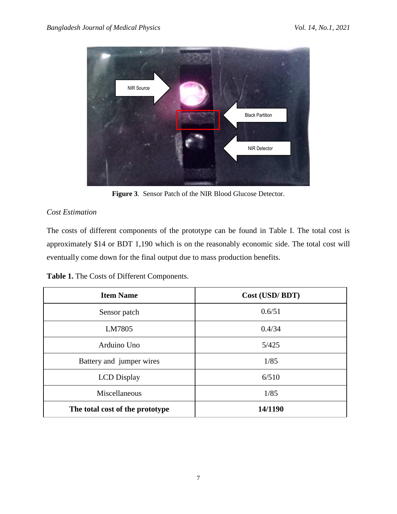

**Figure 3**. Sensor Patch of the NIR Blood Glucose Detector.

# *Cost Estimation*

The costs of different components of the prototype can be found in Table I. The total cost is approximately \$14 or BDT 1,190 which is on the reasonably economic side. The total cost will eventually come down for the final output due to mass production benefits.

| <b>Item Name</b>                | Cost (USD/BDT) |  |
|---------------------------------|----------------|--|
| Sensor patch                    | 0.6/51         |  |
| LM7805                          | 0.4/34         |  |
| Arduino Uno                     | 5/425          |  |
| Battery and jumper wires        | 1/85           |  |
| <b>LCD</b> Display              | 6/510          |  |
| Miscellaneous                   | 1/85           |  |
| The total cost of the prototype | 14/1190        |  |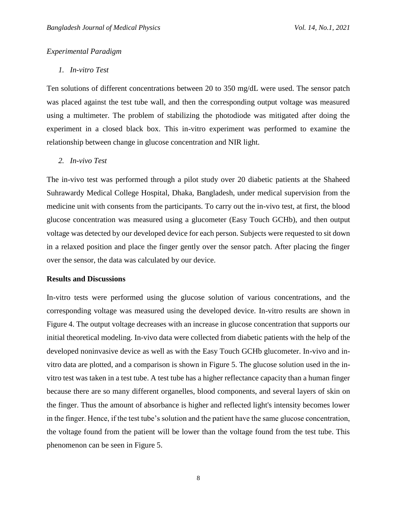# *Experimental Paradigm*

### *1. In-vitro Test*

Ten solutions of different concentrations between 20 to 350 mg/dL were used. The sensor patch was placed against the test tube wall, and then the corresponding output voltage was measured using a multimeter. The problem of stabilizing the photodiode was mitigated after doing the experiment in a closed black box. This in-vitro experiment was performed to examine the relationship between change in glucose concentration and NIR light.

*2. In-vivo Test*

The in-vivo test was performed through a pilot study over 20 diabetic patients at the Shaheed Suhrawardy Medical College Hospital, Dhaka, Bangladesh, under medical supervision from the medicine unit with consents from the participants. To carry out the in-vivo test, at first, the blood glucose concentration was measured using a glucometer (Easy Touch GCHb), and then output voltage was detected by our developed device for each person. Subjects were requested to sit down in a relaxed position and place the finger gently over the sensor patch. After placing the finger over the sensor, the data was calculated by our device.

# **Results and Discussions**

In-vitro tests were performed using the glucose solution of various concentrations, and the corresponding voltage was measured using the developed device. In-vitro results are shown in Figure 4. The output voltage decreases with an increase in glucose concentration that supports our initial theoretical modeling. In-vivo data were collected from diabetic patients with the help of the developed noninvasive device as well as with the Easy Touch GCHb glucometer. In-vivo and invitro data are plotted, and a comparison is shown in Figure 5. The glucose solution used in the invitro test was taken in a test tube. A test tube has a higher reflectance capacity than a human finger because there are so many different organelles, blood components, and several layers of skin on the finger. Thus the amount of absorbance is higher and reflected light's intensity becomes lower in the finger. Hence, if the test tube's solution and the patient have the same glucose concentration, the voltage found from the patient will be lower than the voltage found from the test tube. This phenomenon can be seen in Figure 5.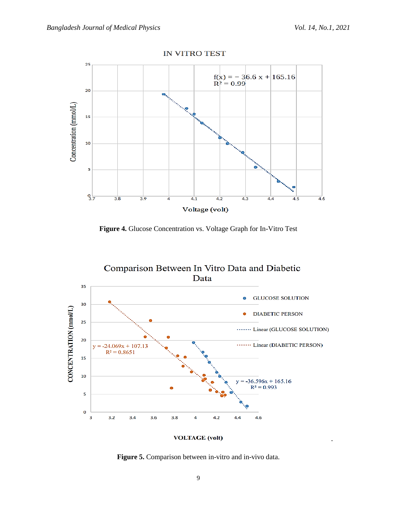

**Figure 4.** Glucose Concentration vs. Voltage Graph for In-Vitro Test



**VOLTAGE** (volt)

**Figure 5.** Comparison between in-vitro and in-vivo data.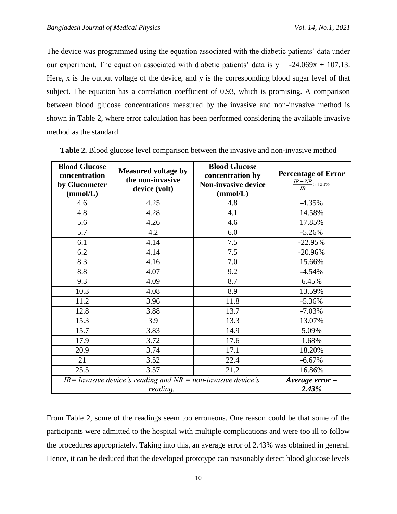The device was programmed using the equation associated with the diabetic patients' data under our experiment. The equation associated with diabetic patients' data is  $y = -24.069x + 107.13$ . Here, x is the output voltage of the device, and y is the corresponding blood sugar level of that subject. The equation has a correlation coefficient of 0.93, which is promising. A comparison between blood glucose concentrations measured by the invasive and non-invasive method is shown in Table 2, where error calculation has been performed considering the available invasive method as the standard.

| <b>Blood Glucose</b><br>concentration<br>by Glucometer<br>(mmol/L)            | <b>Measured voltage by</b><br>the non-invasive<br>device (volt) | <b>Blood Glucose</b><br>concentration by<br><b>Non-invasive device</b><br>(mmol/L) | <b>Percentage of Error</b><br>$\frac{IR-NR}{IR}\times 100\%$ |
|-------------------------------------------------------------------------------|-----------------------------------------------------------------|------------------------------------------------------------------------------------|--------------------------------------------------------------|
| 4.6                                                                           | 4.25                                                            | 4.8                                                                                | $-4.35%$                                                     |
| 4.8                                                                           | 4.28                                                            | 4.1                                                                                | 14.58%                                                       |
| 5.6                                                                           | 4.26                                                            | 4.6                                                                                | 17.85%                                                       |
| 5.7                                                                           | 4.2                                                             | 6.0                                                                                | $-5.26%$                                                     |
| 6.1                                                                           | 4.14                                                            | 7.5                                                                                | $-22.95%$                                                    |
| 6.2                                                                           | 4.14                                                            | 7.5                                                                                | $-20.96%$                                                    |
| 8.3                                                                           | 4.16                                                            | 7.0                                                                                | 15.66%                                                       |
| 8.8                                                                           | 4.07                                                            | 9.2                                                                                | $-4.54%$                                                     |
| 9.3                                                                           | 4.09                                                            | 8.7                                                                                | 6.45%                                                        |
| 10.3                                                                          | 4.08                                                            | 8.9                                                                                | 13.59%                                                       |
| 11.2                                                                          | 3.96                                                            | 11.8                                                                               | $-5.36%$                                                     |
| 12.8                                                                          | 3.88                                                            | 13.7                                                                               | $-7.03%$                                                     |
| 15.3                                                                          | 3.9                                                             | 13.3                                                                               | 13.07%                                                       |
| 15.7                                                                          | 3.83                                                            | 14.9                                                                               | 5.09%                                                        |
| 17.9                                                                          | 3.72                                                            | 17.6                                                                               | 1.68%                                                        |
| 20.9                                                                          | 3.74                                                            | 17.1                                                                               | 18.20%                                                       |
| 21                                                                            | 3.52                                                            | 22.4                                                                               | $-6.67%$                                                     |
| 25.5                                                                          | 3.57                                                            | 21.2                                                                               | 16.86%                                                       |
| $IR = Invasive$ device's reading and $NR = non-invasive$ device's<br>reading. |                                                                 |                                                                                    | Average error $=$<br>2.43%                                   |

**Table 2.** Blood glucose level comparison between the invasive and non-invasive method

From Table 2, some of the readings seem too erroneous. One reason could be that some of the participants were admitted to the hospital with multiple complications and were too ill to follow the procedures appropriately. Taking into this, an average error of 2.43% was obtained in general. Hence, it can be deduced that the developed prototype can reasonably detect blood glucose levels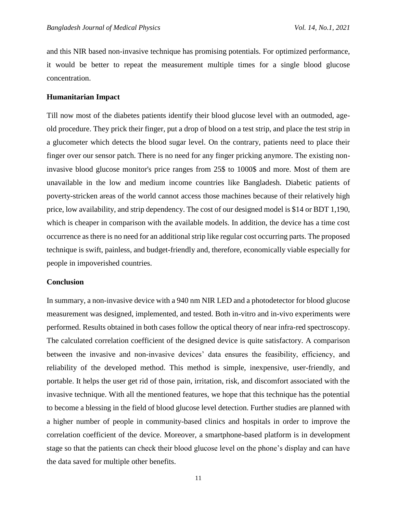and this NIR based non-invasive technique has promising potentials. For optimized performance, it would be better to repeat the measurement multiple times for a single blood glucose concentration.

### **Humanitarian Impact**

Till now most of the diabetes patients identify their blood glucose level with an outmoded, ageold procedure. They prick their finger, put a drop of blood on a test strip, and place the test strip in a glucometer which detects the blood sugar level. On the contrary, patients need to place their finger over our sensor patch. There is no need for any finger pricking anymore. The existing noninvasive blood glucose monitor's price ranges from 25\$ to 1000\$ and more. Most of them are unavailable in the low and medium income countries like Bangladesh. Diabetic patients of poverty-stricken areas of the world cannot access those machines because of their relatively high price, low availability, and strip dependency. The cost of our designed model is \$14 or BDT 1,190, which is cheaper in comparison with the available models. In addition, the device has a time cost occurrence as there is no need for an additional strip like regular cost occurring parts. The proposed technique is swift, painless, and budget-friendly and, therefore, economically viable especially for people in impoverished countries.

# **Conclusion**

In summary, a non-invasive device with a 940 nm NIR LED and a photodetector for blood glucose measurement was designed, implemented, and tested. Both in-vitro and in-vivo experiments were performed. Results obtained in both cases follow the optical theory of near infra-red spectroscopy. The calculated correlation coefficient of the designed device is quite satisfactory. A comparison between the invasive and non-invasive devices' data ensures the feasibility, efficiency, and reliability of the developed method. This method is simple, inexpensive, user-friendly, and portable. It helps the user get rid of those pain, irritation, risk, and discomfort associated with the invasive technique. With all the mentioned features, we hope that this technique has the potential to become a blessing in the field of blood glucose level detection. Further studies are planned with a higher number of people in community-based clinics and hospitals in order to improve the correlation coefficient of the device. Moreover, a smartphone-based platform is in development stage so that the patients can check their blood glucose level on the phone's display and can have the data saved for multiple other benefits.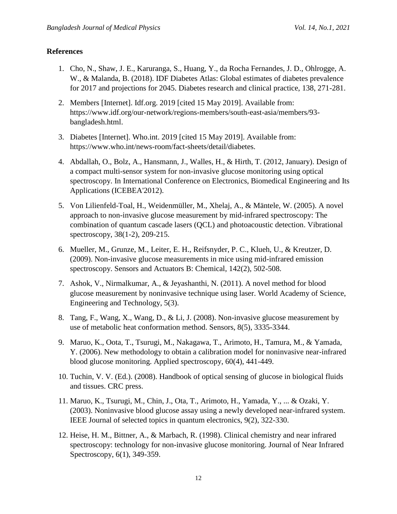# **References**

- 1. Cho, N., Shaw, J. E., Karuranga, S., Huang, Y., da Rocha Fernandes, J. D., Ohlrogge, A. W., & Malanda, B. (2018). IDF Diabetes Atlas: Global estimates of diabetes prevalence for 2017 and projections for 2045. Diabetes research and clinical practice, 138, 271-281.
- 2. Members [Internet]. Idf.org. 2019 [cited 15 May 2019]. Available from: https://www.idf.org/our-network/regions-members/south-east-asia/members/93 bangladesh.html.
- 3. Diabetes [Internet]. Who.int. 2019 [cited 15 May 2019]. Available from: https://www.who.int/news-room/fact-sheets/detail/diabetes.
- 4. Abdallah, O., Bolz, A., Hansmann, J., Walles, H., & Hirth, T. (2012, January). Design of a compact multi-sensor system for non-invasive glucose monitoring using optical spectroscopy. In International Conference on Electronics, Biomedical Engineering and Its Applications (ICEBEA'2012).
- 5. Von Lilienfeld-Toal, H., Weidenmüller, M., Xhelaj, A., & Mäntele, W. (2005). A novel approach to non-invasive glucose measurement by mid-infrared spectroscopy: The combination of quantum cascade lasers (QCL) and photoacoustic detection. Vibrational spectroscopy, 38(1-2), 209-215.
- 6. Mueller, M., Grunze, M., Leiter, E. H., Reifsnyder, P. C., Klueh, U., & Kreutzer, D. (2009). Non-invasive glucose measurements in mice using mid-infrared emission spectroscopy. Sensors and Actuators B: Chemical, 142(2), 502-508.
- 7. Ashok, V., Nirmalkumar, A., & Jeyashanthi, N. (2011). A novel method for blood glucose measurement by noninvasive technique using laser. World Academy of Science, Engineering and Technology, 5(3).
- 8. Tang, F., Wang, X., Wang, D., & Li, J. (2008). Non-invasive glucose measurement by use of metabolic heat conformation method. Sensors, 8(5), 3335-3344.
- 9. Maruo, K., Oota, T., Tsurugi, M., Nakagawa, T., Arimoto, H., Tamura, M., & Yamada, Y. (2006). New methodology to obtain a calibration model for noninvasive near-infrared blood glucose monitoring. Applied spectroscopy, 60(4), 441-449.
- 10. Tuchin, V. V. (Ed.). (2008). Handbook of optical sensing of glucose in biological fluids and tissues. CRC press.
- 11. Maruo, K., Tsurugi, M., Chin, J., Ota, T., Arimoto, H., Yamada, Y., ... & Ozaki, Y. (2003). Noninvasive blood glucose assay using a newly developed near-infrared system. IEEE Journal of selected topics in quantum electronics, 9(2), 322-330.
- 12. Heise, H. M., Bittner, A., & Marbach, R. (1998). Clinical chemistry and near infrared spectroscopy: technology for non-invasive glucose monitoring. Journal of Near Infrared Spectroscopy, 6(1), 349-359.